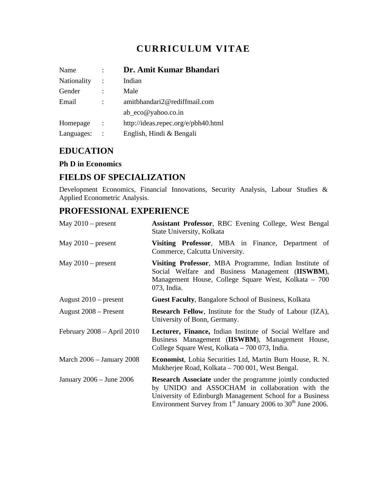# **CURRICULUM VITAE**

| Name        | Dr. Amit Kumar Bhandari             |
|-------------|-------------------------------------|
| Nationality | Indian                              |
| Gender      | Male                                |
| Email       | amitbhandari2@rediffmail.com        |
|             | $ab\_{eco}@yahoo.co.in$             |
| Homepage    | http://ideas.repec.org/e/pbh40.html |
| Languages:  | English, Hindi & Bengali            |

## **EDUCATION**

#### **Ph D in Economics**

### **FIELDS OF SPECIALIZATION**

Development Economics, Financial Innovations, Security Analysis, Labour Studies & Applied Econometric Analysis.

## **PROFESSIONAL EXPERIENCE**

| May $2010$ – present          | Assistant Professor, RBC Evening College, West Bengal<br>State University, Kolkata                                                                                                                                                                          |
|-------------------------------|-------------------------------------------------------------------------------------------------------------------------------------------------------------------------------------------------------------------------------------------------------------|
| May $2010$ – present          | Visiting Professor, MBA in Finance, Department of<br>Commerce, Calcutta University.                                                                                                                                                                         |
| May $2010$ – present          | Visiting Professor, MBA Programme, Indian Institute of<br>Social Welfare and Business Management (IISWBM),<br>Management House, College Square West, Kolkata – 700<br>073, India.                                                                           |
| August $2010$ – present       | <b>Guest Faculty, Bangalore School of Business, Kolkata</b>                                                                                                                                                                                                 |
| August 2008 – Present         | <b>Research Fellow</b> , Institute for the Study of Labour (IZA),<br>University of Bonn, Germany.                                                                                                                                                           |
| February $2008 - April 2010$  | Lecturer, Finance, Indian Institute of Social Welfare and<br>Business Management (IISWBM), Management House,<br>College Square West, Kolkata – 700 073, India.                                                                                              |
| March $2006 -$ January $2008$ | <b>Economist</b> , Lohia Securities Ltd, Martin Burn House, R. N.<br>Mukherjee Road, Kolkata – 700 001, West Bengal.                                                                                                                                        |
| January 2006 – June 2006      | <b>Research Associate</b> under the programme jointly conducted<br>by UNIDO and ASSOCHAM in collaboration with the<br>University of Edinburgh Management School for a Business<br>Environment Survey from $1st$ January 2006 to 30 <sup>th</sup> June 2006. |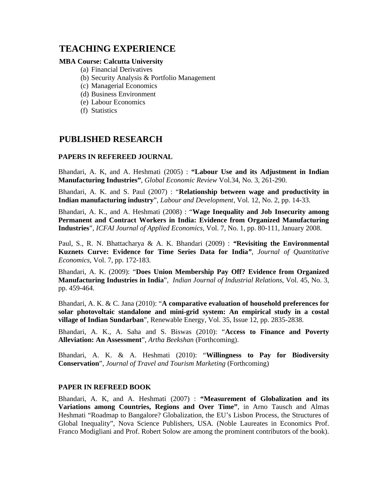## **TEACHING EXPERIENCE**

#### **MBA Course: Calcutta University**

- (a) Financial Derivatives
- (b) Security Analysis & Portfolio Management
- (c) Managerial Economics
- (d) Business Environment
- (e) Labour Economics
- (f) Statistics

### **PUBLISHED RESEARCH**

#### **PAPERS IN REFEREED JOURNAL**

Bhandari, A. K, and A. Heshmati (2005) : **"Labour Use and its Adjustment in Indian Manufacturing Industries"**, *Global Economic Review* Vol.34, No. 3, 261-290.

Bhandari, A. K. and S. Paul (2007) : "**Relationship between wage and productivity in Indian manufacturing industry**", *Labour and Development*, Vol. 12, No. 2, pp. 14-33.

Bhandari, A. K., and A. Heshmati (2008) : "**Wage Inequality and Job Insecurity among Permanent and Contract Workers in India: Evidence from Organized Manufacturing Industries**", *ICFAI Journal of Applied Economics,* Vol. 7, No. 1, pp. 80-111, January 2008.

Paul, S., R. N. Bhattacharya & A. K. Bhandari (2009) : *"***Revisiting the Environmental Kuznets Curve: Evidence for Time Series Data for India***"*, *Journal of Quantitative Economics,* Vol. 7, pp. 172-183*.* 

Bhandari, A. K. (2009): "**Does Union Membership Pay Off? Evidence from Organized Manufacturing Industries in India**", *Indian Journal of Industrial Relations*, Vol. 45, No. 3, pp. 459-464.

Bhandari, A. K. & C. Jana (2010): "**A comparative evaluation of household preferences for solar photovoltaic standalone and mini-grid system: An empirical study in a costal village of Indian Sundarban**", Renewable Energy, Vol. 35, Issue 12, pp. 2835-2838.

Bhandari, A. K., A. Saha and S. Biswas (2010): "**Access to Finance and Poverty Alleviation: An Assessment**", *Artha Beekshan* (Forthcoming).

Bhandari, A. K. & A. Heshmati (2010): "**Willingness to Pay for Biodiversity Conservation**", *Journal of Travel and Tourism Marketing* (Forthcoming)

#### **PAPER IN REFREED BOOK**

Bhandari, A. K, and A. Heshmati (2007) : **"Measurement of Globalization and its Variations among Countries, Regions and Over Time"**, in Arno Tausch and Almas Heshmati "Roadmap to Bangalore? Globalization, the EU's Lisbon Process, the Structures of Global Inequality", Nova Science Publishers, USA. (Noble Laureates in Economics Prof. Franco Modigliani and Prof. Robert Solow are among the prominent contributors of the book).